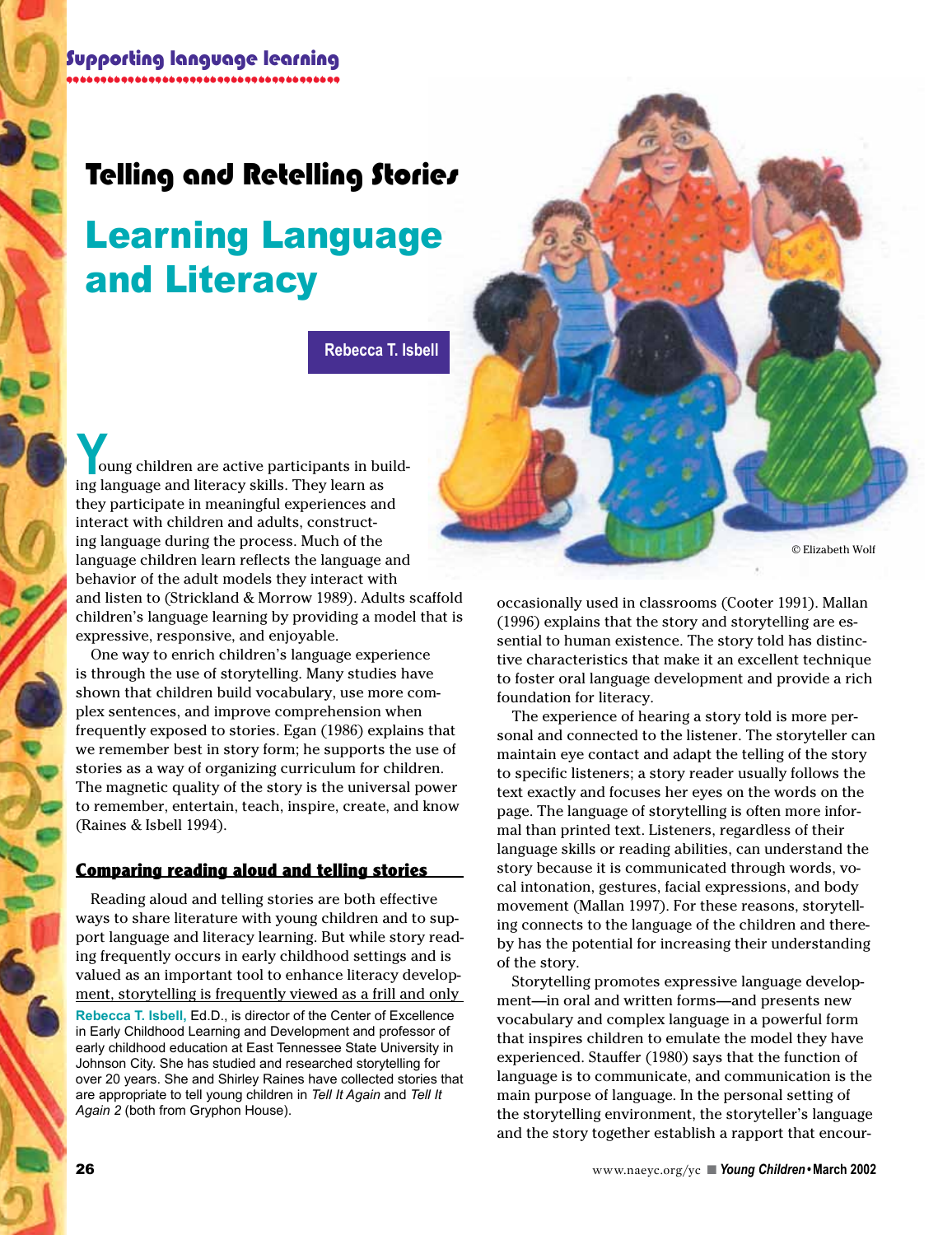# Telling and Retelling Stories

# Learning Language and Literacy

**Rebecca T. Isbell**

 oung children are active participants in build-**Y**<br>boung children are active participants in bu<br>ing language and literacy skills. They learn as they participate in meaningful experiences and interact with children and adults, constructing language during the process. Much of the language children learn reflects the language and behavior of the adult models they interact with and listen to (Strickland & Morrow 1989). Adults scaffold children's language learning by providing a model that is expressive, responsive, and enjoyable.

One way to enrich children's language experience is through the use of storytelling. Many studies have shown that children build vocabulary, use more complex sentences, and improve comprehension when frequently exposed to stories. Egan (1986) explains that we remember best in story form; he supports the use of stories as a way of organizing curriculum for children. The magnetic quality of the story is the universal power to remember, entertain, teach, inspire, create, and know (Raines & Isbell 1994).

#### **Comparing reading aloud and telling stories**

**Rebecca T. Isbell,** Ed.D., is director of the Center of Excellence in Early Childhood Learning and Development and professor of early childhood education at East Tennessee State University in Johnson City. She has studied and researched storytelling for over 20 years. She and Shirley Raines have collected stories that are appropriate to tell young children in *Tell It Again* and *Tell It Again 2* (both from Gryphon House). Reading aloud and telling stories are both effective ways to share literature with young children and to support language and literacy learning. But while story reading frequently occurs in early childhood settings and is valued as an important tool to enhance literacy development, storytelling is frequently viewed as a frill and only



occasionally used in classrooms (Cooter 1991). Mallan (1996) explains that the story and storytelling are essential to human existence. The story told has distinctive characteristics that make it an excellent technique to foster oral language development and provide a rich foundation for literacy.

The experience of hearing a story told is more personal and connected to the listener. The storyteller can maintain eye contact and adapt the telling of the story to specific listeners; a story reader usually follows the text exactly and focuses her eyes on the words on the page. The language of storytelling is often more informal than printed text. Listeners, regardless of their language skills or reading abilities, can understand the story because it is communicated through words, vocal intonation, gestures, facial expressions, and body movement (Mallan 1997). For these reasons, storytelling connects to the language of the children and thereby has the potential for increasing their understanding of the story.

Storytelling promotes expressive language development—in oral and written forms—and presents new vocabulary and complex language in a powerful form that inspires children to emulate the model they have experienced. Stauffer (1980) says that the function of language is to communicate, and communication is the main purpose of language. In the personal setting of the storytelling environment, the storyteller's language and the story together establish a rapport that encour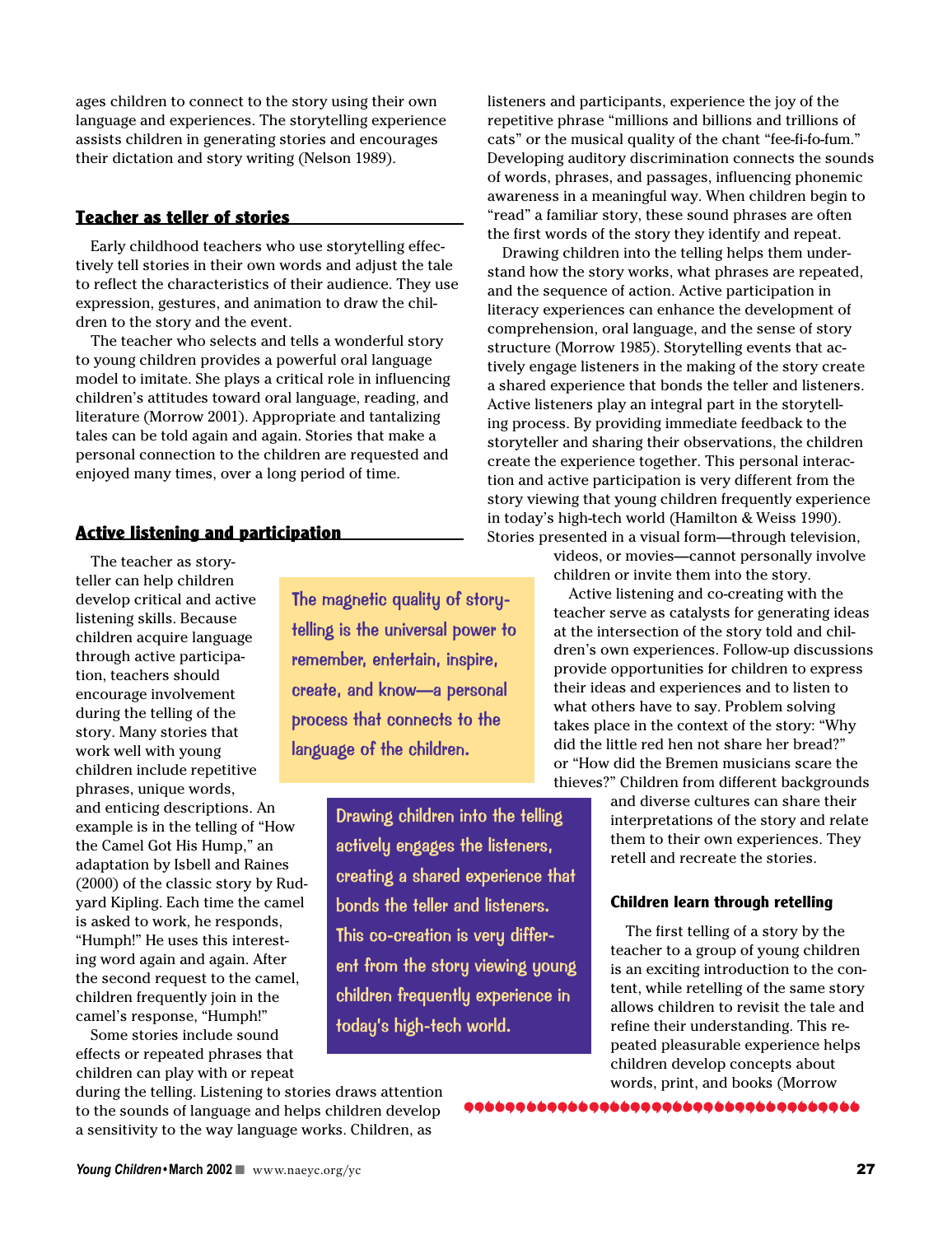ages children to connect to the story using their own language and experiences. The storytelling experience assists children in generating stories and encourages their dictation and story writing (Nelson 1989).

#### **Teacher as teller of stories**

Early childhood teachers who use storytelling effectively tell stories in their own words and adjust the tale to reflect the characteristics of their audience. They use expression, gestures, and animation to draw the children to the story and the event.

The teacher who selects and tells a wonderful story to young children provides a powerful oral language model to imitate. She plays a critical role in influencing children's attitudes toward oral language, reading, and literature (Morrow 2001). Appropriate and tantalizing tales can be told again and again. Stories that make a personal connection to the children are requested and enjoyed many times, over a long period of time.

### **Active listening and participation**

The teacher as storyteller can help children develop critical and active listening skills. Because children acquire language through active participation, teachers should encourage involvement during the telling of the story. Many stories that work well with young children include repetitive phrases, unique words, and enticing descriptions. An example is in the telling of "How the Camel Got His Hump," an adaptation by Isbell and Raines (2000) of the classic story by Rudyard Kipling. Each time the camel is asked to work, he responds, "Humph!" He uses this interesting word again and again. After the second request to the camel, children frequently join in the camel's response, "Humph!"

Some stories include sound effects or repeated phrases that children can play with or repeat

The magnetic quality of storytelling is the universal power to remember, entertain, inspire, create, and know—a personal process that connects to the language of the children.

> Drawing children into the telling actively engages the listeners, creating a shared experience that bonds the teller and listeners. This co-creation is very different from the story viewing young children frequently experience in today's high-tech world.

listeners and participants, experience the joy of the repetitive phrase "millions and billions and trillions of cats" or the musical quality of the chant "fee-fi-fo-fum." Developing auditory discrimination connects the sounds of words, phrases, and passages, influencing phonemic awareness in a meaningful way. When children begin to "read" a familiar story, these sound phrases are often the first words of the story they identify and repeat.

Drawing children into the telling helps them understand how the story works, what phrases are repeated, and the sequence of action. Active participation in literacy experiences can enhance the development of comprehension, oral language, and the sense of story structure (Morrow 1985). Storytelling events that actively engage listeners in the making of the story create a shared experience that bonds the teller and listeners. Active listeners play an integral part in the storytelling process. By providing immediate feedback to the storyteller and sharing their observations, the children create the experience together. This personal interaction and active participation is very different from the story viewing that young children frequently experience in today's high-tech world (Hamilton & Weiss 1990). Stories presented in a visual form—through television,

> videos, or movies—cannot personally involve children or invite them into the story.

Active listening and co-creating with the teacher serve as catalysts for generating ideas at the intersection of the story told and children's own experiences. Follow-up discussions provide opportunities for children to express their ideas and experiences and to listen to what others have to say. Problem solving takes place in the context of the story: "Why did the little red hen not share her bread?" or "How did the Bremen musicians scare the thieves?" Children from different backgrounds

> and diverse cultures can share their interpretations of the story and relate them to their own experiences. They retell and recreate the stories.

#### **Children learn through retelling**

The first telling of a story by the teacher to a group of young children is an exciting introduction to the content, while retelling of the same story allows children to revisit the tale and refine their understanding. This repeated pleasurable experience helps children develop concepts about words, print, and books (Morrow

9966996699666999669966996699669966

during the telling. Listening to stories draws attention to the sounds of language and helps children develop a sensitivity to the way language works. Children, as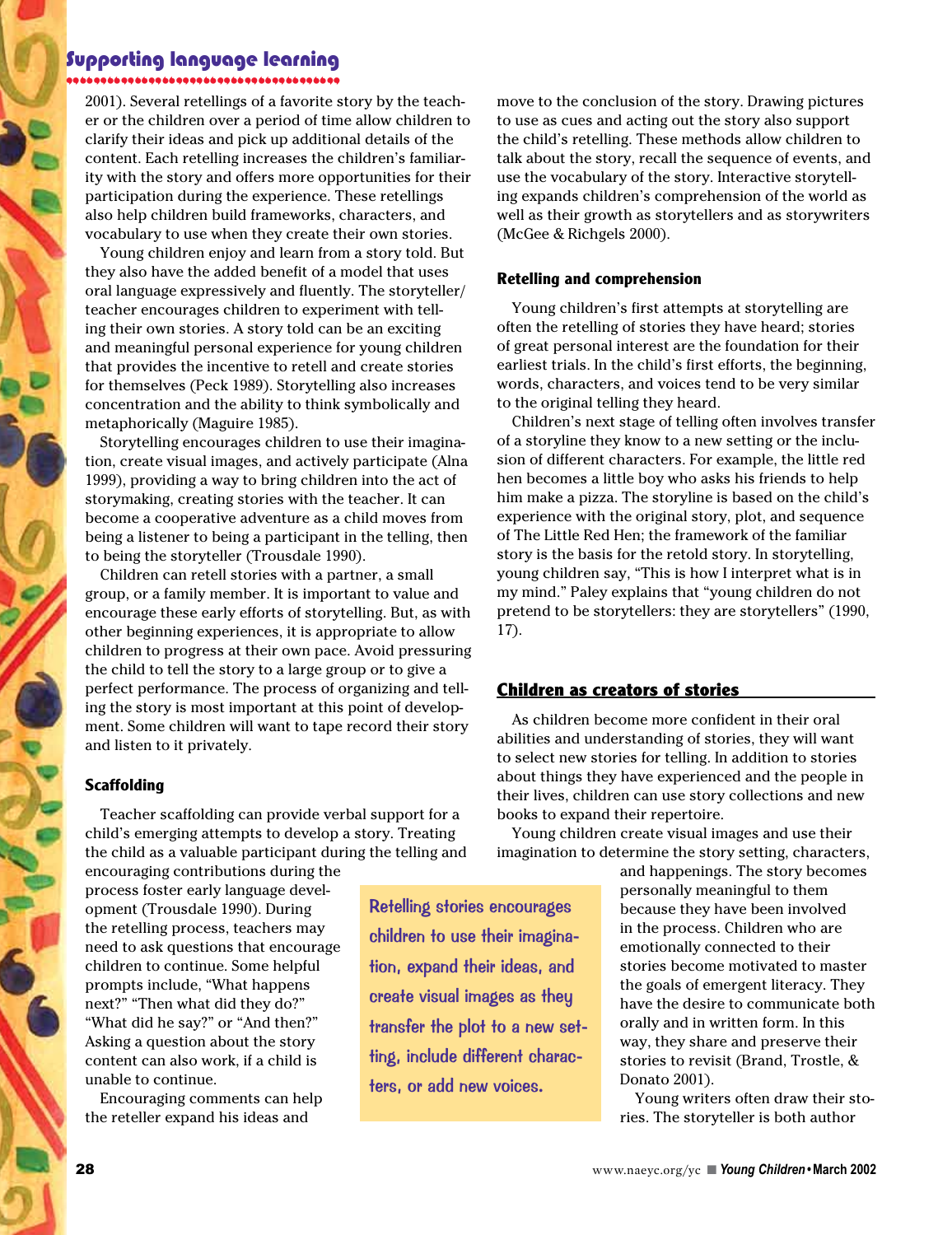# Supporting language learning

2001). Several retellings of a favorite story by the teach-"""""""""""""""""""" er or the children over a period of time allow children to clarify their ideas and pick up additional details of the content. Each retelling increases the children's familiarity with the story and offers more opportunities for their participation during the experience. These retellings also help children build frameworks, characters, and vocabulary to use when they create their own stories.

Young children enjoy and learn from a story told. But they also have the added benefit of a model that uses oral language expressively and fluently. The storyteller/ teacher encourages children to experiment with telling their own stories. A story told can be an exciting and meaningful personal experience for young children that provides the incentive to retell and create stories for themselves (Peck 1989). Storytelling also increases concentration and the ability to think symbolically and metaphorically (Maguire 1985).

Storytelling encourages children to use their imagination, create visual images, and actively participate (Alna 1999), providing a way to bring children into the act of storymaking, creating stories with the teacher. It can become a cooperative adventure as a child moves from being a listener to being a participant in the telling, then to being the storyteller (Trousdale 1990).

Children can retell stories with a partner, a small group, or a family member. It is important to value and encourage these early efforts of storytelling. But, as with other beginning experiences, it is appropriate to allow children to progress at their own pace. Avoid pressuring the child to tell the story to a large group or to give a perfect performance. The process of organizing and telling the story is most important at this point of development. Some children will want to tape record their story and listen to it privately.

#### **Scaffolding**

Teacher scaffolding can provide verbal support for a child's emerging attempts to develop a story. Treating the child as a valuable participant during the telling and

encouraging contributions during the process foster early language development (Trousdale 1990). During the retelling process, teachers may need to ask questions that encourage children to continue. Some helpful prompts include, "What happens next?" "Then what did they do?" "What did he say?" or "And then?" Asking a question about the story content can also work, if a child is unable to continue.

Encouraging comments can help the reteller expand his ideas and

children to use their imagination, expand their ideas, and create visual images as they transfer the plot to a new setting, include different characters, or add new voices.

Retelling stories encourages

move to the conclusion of the story. Drawing pictures to use as cues and acting out the story also support the child's retelling. These methods allow children to talk about the story, recall the sequence of events, and use the vocabulary of the story. Interactive storytelling expands children's comprehension of the world as well as their growth as storytellers and as storywriters (McGee & Richgels 2000).

#### **Retelling and comprehension**

Young children's first attempts at storytelling are often the retelling of stories they have heard; stories of great personal interest are the foundation for their earliest trials. In the child's first efforts, the beginning, words, characters, and voices tend to be very similar to the original telling they heard.

Children's next stage of telling often involves transfer of a storyline they know to a new setting or the inclusion of different characters. For example, the little red hen becomes a little boy who asks his friends to help him make a pizza. The storyline is based on the child's experience with the original story, plot, and sequence of The Little Red Hen; the framework of the familiar story is the basis for the retold story. In storytelling, young children say, "This is how I interpret what is in my mind." Paley explains that "young children do not pretend to be storytellers: they are storytellers" (1990, 17).

#### **Children as creators of stories**

As children become more confident in their oral abilities and understanding of stories, they will want to select new stories for telling. In addition to stories about things they have experienced and the people in their lives, children can use story collections and new books to expand their repertoire.

Young children create visual images and use their imagination to determine the story setting, characters,

> and happenings. The story becomes personally meaningful to them because they have been involved in the process. Children who are emotionally connected to their stories become motivated to master the goals of emergent literacy. They have the desire to communicate both orally and in written form. In this way, they share and preserve their stories to revisit (Brand, Trostle, & Donato 2001).

> Young writers often draw their stories. The storyteller is both author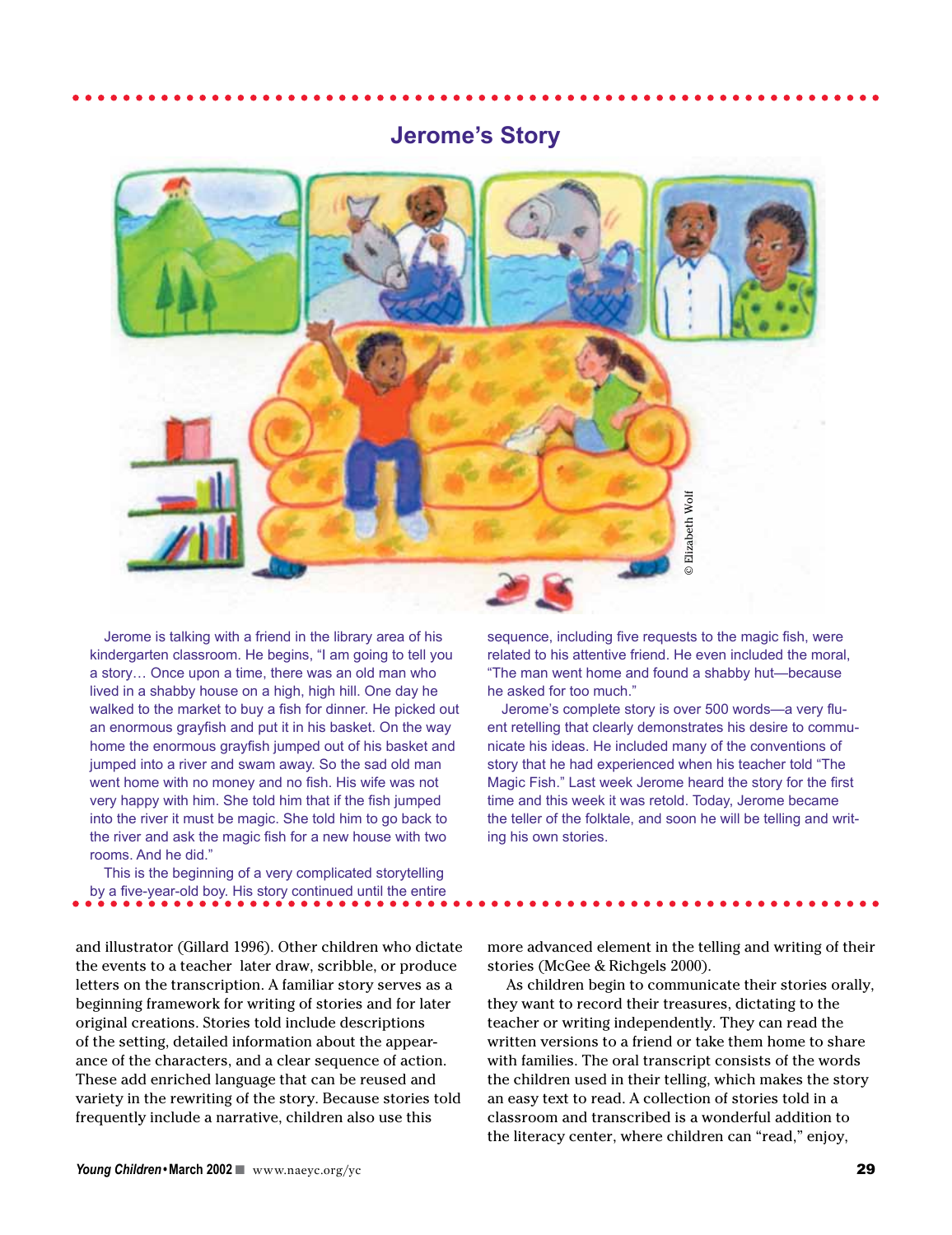# **Jerome's Story**



Jerome is talking with a friend in the library area of his kindergarten classroom. He begins, "I am going to tell you a story… Once upon a time, there was an old man who lived in a shabby house on a high, high hill. One day he walked to the market to buy a fish for dinner. He picked out an enormous grayfish and put it in his basket. On the way home the enormous grayfish jumped out of his basket and jumped into a river and swam away. So the sad old man went home with no money and no fish. His wife was not very happy with him. She told him that if the fish jumped into the river it must be magic. She told him to go back to the river and ask the magic fish for a new house with two rooms. And he did."

This is the beginning of a very complicated storytelling by a five-year-old boy. His story continued until the entire

and illustrator (Gillard 1996). Other children who dictate the events to a teacher later draw, scribble, or produce letters on the transcription. A familiar story serves as a beginning framework for writing of stories and for later original creations. Stories told include descriptions of the setting, detailed information about the appearance of the characters, and a clear sequence of action. These add enriched language that can be reused and variety in the rewriting of the story. Because stories told frequently include a narrative, children also use this

sequence, including five requests to the magic fish, were related to his attentive friend. He even included the moral, "The man went home and found a shabby hut—because he asked for too much."

Jerome's complete story is over 500 words—a very fluent retelling that clearly demonstrates his desire to communicate his ideas. He included many of the conventions of story that he had experienced when his teacher told "The Magic Fish." Last week Jerome heard the story for the first time and this week it was retold. Today, Jerome became the teller of the folktale, and soon he will be telling and writing the sequence, including five requests<br>related to his attentive friend. He<br>"The man went home and found<br>he asked for too much."<br>Jerome's complete story is ove<br>ent retelling that clearly demonst<br>nicate his ideas. He incl

more advanced element in the telling and writing of their stories (McGee & Richgels 2000).

As children begin to communicate their stories orally, they want to record their treasures, dictating to the teacher or writing independently. They can read the written versions to a friend or take them home to share with families. The oral transcript consists of the words the children used in their telling, which makes the story an easy text to read. A collection of stories told in a classroom and transcribed is a wonderful addition to the literacy center, where children can "read," enjoy,